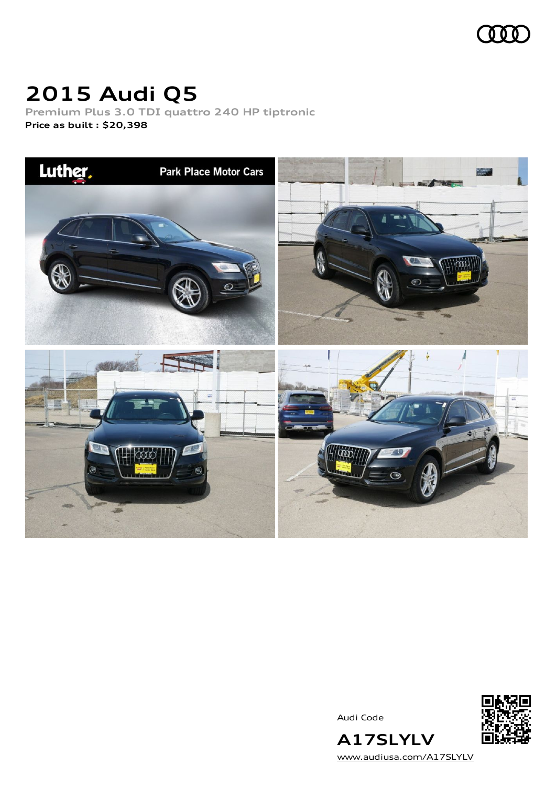

## **2015 Audi Q5**

**Premium Plus 3.0 TDI quattro 240 HP tiptronic Price as built [:](#page-9-0) \$20,398**



Audi Code



**A17SLYLV** [www.audiusa.com/A17SLYLV](https://www.audiusa.com/A17SLYLV)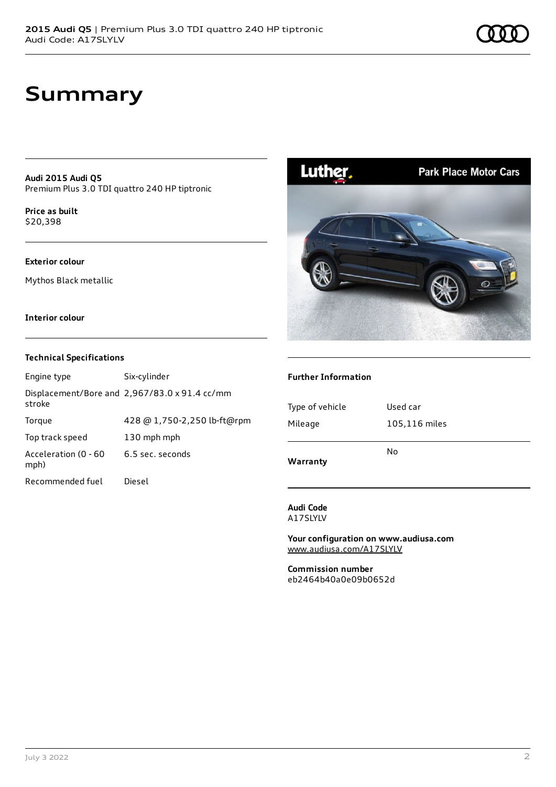## **Summary**

**Audi 2015 Audi Q5** Premium Plus 3.0 TDI quattro 240 HP tiptronic

**Price as buil[t](#page-9-0)** \$20,398

#### **Exterior colour**

Mythos Black metallic

#### **Interior colour**

#### **Technical Specifications**

| Engine type                  | Six-cylinder                                  |
|------------------------------|-----------------------------------------------|
| stroke                       | Displacement/Bore and 2,967/83.0 x 91.4 cc/mm |
| Torque                       | 428 @ 1,750-2,250 lb-ft@rpm                   |
| Top track speed              | 130 mph mph                                   |
| Acceleration (0 - 60<br>mph) | 6.5 sec. seconds                              |
| Recommended fuel             | Diesel                                        |



#### **Further Information**

| Warranty        |               |
|-----------------|---------------|
|                 | No            |
| Mileage         | 105,116 miles |
| Type of vehicle | Used car      |
|                 |               |

**Audi Code** A17SLYLV

**Your configuration on www.audiusa.com** [www.audiusa.com/A17SLYLV](https://www.audiusa.com/A17SLYLV)

**Commission number** eb2464b40a0e09b0652d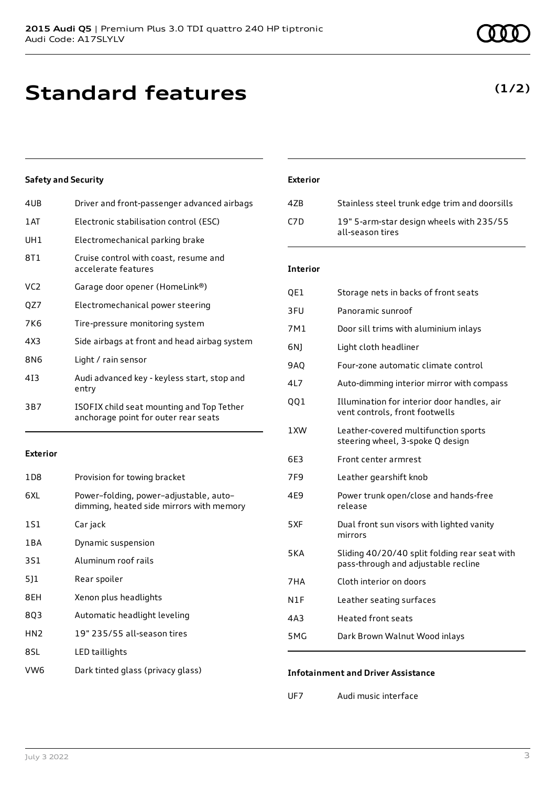## **Standard features**

### **Safety and Security**

| 4UB             | Driver and front-passenger advanced airbags                                       |
|-----------------|-----------------------------------------------------------------------------------|
| 1AT             | Electronic stabilisation control (ESC)                                            |
| UH1             | Electromechanical parking brake                                                   |
| 8T1             | Cruise control with coast, resume and<br>accelerate features                      |
| VC <sub>2</sub> | Garage door opener (HomeLink®)                                                    |
| QZ7             | Electromechanical power steering                                                  |
| 7K6             | Tire-pressure monitoring system                                                   |
| 4X3             | Side airbags at front and head airbag system                                      |
| 8N6             | Light / rain sensor                                                               |
| 413             | Audi advanced key - keyless start, stop and<br>entry                              |
| 3B7             | ISOFIX child seat mounting and Top Tether<br>anchorage point for outer rear seats |
|                 |                                                                                   |

#### **Exterior**

| 1 D 8           | Provision for towing bracket                                                       |
|-----------------|------------------------------------------------------------------------------------|
| 6XL             | Power-folding, power-adjustable, auto-<br>dimming, heated side mirrors with memory |
| 1S1             | Car jack                                                                           |
| 1 B A           | Dynamic suspension                                                                 |
| 3S1             | Aluminum roof rails                                                                |
| 5]1             | Rear spoiler                                                                       |
| 8EH             | Xenon plus headlights                                                              |
| 803             | Automatic headlight leveling                                                       |
| HN <sub>2</sub> | 19" 235/55 all-season tires                                                        |
| 8SL             | LED taillights                                                                     |
| VW6             | Dark tinted glass (privacy glass)                                                  |

#### **Exterior**

| 47B  | Stainless steel trunk edge trim and doorsills                |
|------|--------------------------------------------------------------|
| CZD. | 19" 5-arm-star design wheels with 235/55<br>all-season tires |

#### **Interior**

| QE1              | Storage nets in backs of front seats                                                 |
|------------------|--------------------------------------------------------------------------------------|
| 3FU              | Panoramic sunroof                                                                    |
| 7M1              | Door sill trims with aluminium inlays                                                |
| 6N)              | Light cloth headliner                                                                |
| <b>9AQ</b>       | Four-zone automatic climate control                                                  |
| 4L7              | Auto-dimming interior mirror with compass                                            |
| QQ1              | Illumination for interior door handles, air<br>vent controls, front footwells        |
| 1XW              | Leather-covered multifunction sports<br>steering wheel, 3-spoke Q design             |
| 6E3              | Front center armrest                                                                 |
| 7F <sub>9</sub>  | Leather gearshift knob                                                               |
| 4E9              | Power trunk open/close and hands-free<br>release                                     |
| 5XF              | Dual front sun visors with lighted vanity<br>mirrors                                 |
| 5KA              | Sliding 40/20/40 split folding rear seat with<br>pass-through and adjustable recline |
| 7HA              | Cloth interior on doors                                                              |
| N1F              | Leather seating surfaces                                                             |
| 4A3              | <b>Heated front seats</b>                                                            |
| 5 <sub>M</sub> G | Dark Brown Walnut Wood inlays                                                        |
|                  |                                                                                      |

#### **Infotainment and Driver Assistance**

UF7 Audi music interface

## **(1/2)**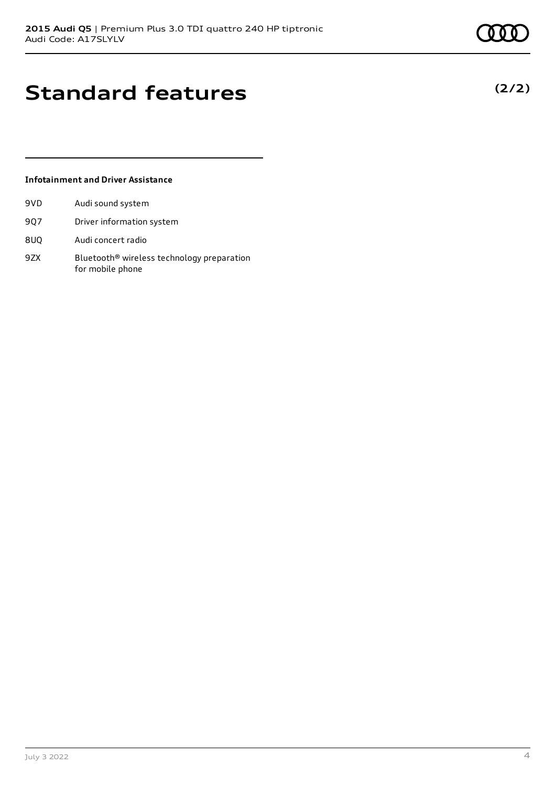**(2/2)**

# **Standard features**

### **Infotainment and Driver Assistance**

| 9VD | Audi sound system         |
|-----|---------------------------|
| 907 | Driver information system |

- 8UQ Audi concert radio
- 9ZX Bluetooth® wireless technology preparation for mobile phone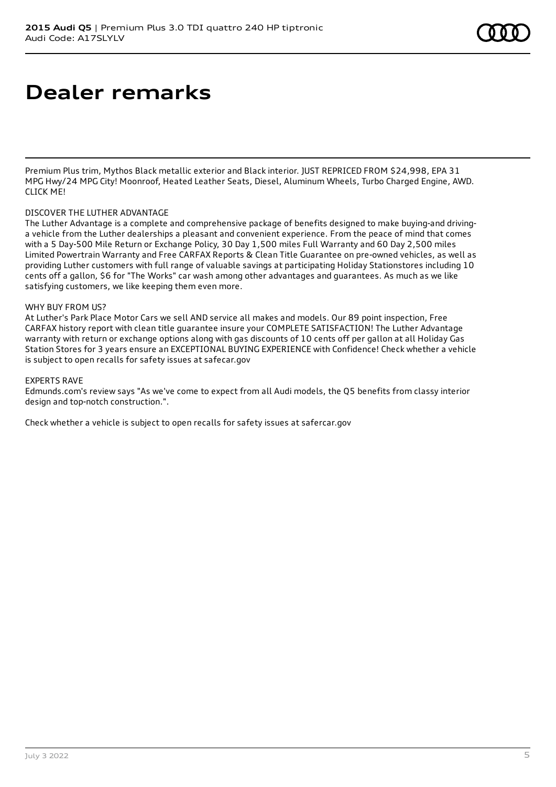# **Dealer remarks**

Premium Plus trim, Mythos Black metallic exterior and Black interior. JUST REPRICED FROM \$24,998, EPA 31 MPG Hwy/24 MPG City! Moonroof, Heated Leather Seats, Diesel, Aluminum Wheels, Turbo Charged Engine, AWD. CLICK ME!

#### DISCOVER THE LUTHER ADVANTAGE

The Luther Advantage is a complete and comprehensive package of benefits designed to make buying-and drivinga vehicle from the Luther dealerships a pleasant and convenient experience. From the peace of mind that comes with a 5 Day-500 Mile Return or Exchange Policy, 30 Day 1,500 miles Full Warranty and 60 Day 2,500 miles Limited Powertrain Warranty and Free CARFAX Reports & Clean Title Guarantee on pre-owned vehicles, as well as providing Luther customers with full range of valuable savings at participating Holiday Stationstores including 10 cents off a gallon, \$6 for "The Works" car wash among other advantages and guarantees. As much as we like satisfying customers, we like keeping them even more.

#### WHY BUY FROM US?

At Luther's Park Place Motor Cars we sell AND service all makes and models. Our 89 point inspection, Free CARFAX history report with clean title guarantee insure your COMPLETE SATISFACTION! The Luther Advantage warranty with return or exchange options along with gas discounts of 10 cents off per gallon at all Holiday Gas Station Stores for 3 years ensure an EXCEPTIONAL BUYING EXPERIENCE with Confidence! Check whether a vehicle is subject to open recalls for safety issues at safecar.gov

#### EXPERTS RAVE

Edmunds.com's review says "As we've come to expect from all Audi models, the Q5 benefits from classy interior design and top-notch construction.".

Check whether a vehicle is subject to open recalls for safety issues at safercar.gov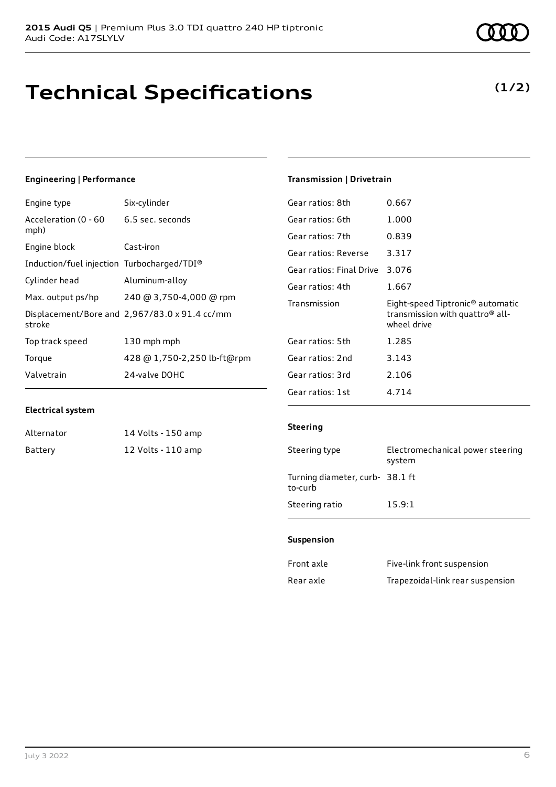# **Technical Specifications**

### **Engineering | Performance**

| Engine type                                | Six-cylinder                                  |
|--------------------------------------------|-----------------------------------------------|
| Acceleration (0 - 60<br>mph)               | 6.5 sec. seconds                              |
| Engine block                               | Cast-iron                                     |
| Induction/fuel injection Turbocharged/TDI® |                                               |
| Cylinder head                              | Aluminum-alloy                                |
| Max. output ps/hp                          | 240 @ 3,750-4,000 @ rpm                       |
| stroke                                     | Displacement/Bore and 2,967/83.0 x 91.4 cc/mm |
| Top track speed                            | 130 mph mph                                   |
| Torque                                     | 428 @ 1,750-2,250 lb-ft@rpm                   |
| Valvetrain                                 | 24-valve DOHC                                 |

## **Transmission | Drivetrain**

| Gear ratios: 8th         | 0.667                                                                                                      |
|--------------------------|------------------------------------------------------------------------------------------------------------|
| Gear ratios: 6th         | 1.000                                                                                                      |
| Gear ratios: 7th         | 0.839                                                                                                      |
| Gear ratios: Reverse     | 3.317                                                                                                      |
| Gear ratios: Final Drive | 3.076                                                                                                      |
| Gear ratios: 4th         | 1.667                                                                                                      |
|                          |                                                                                                            |
| Transmission             | Eight-speed Tiptronic <sup>®</sup> automatic<br>transmission with quattro <sup>®</sup> all-<br>wheel drive |
| Gear ratios: 5th         | 1.285                                                                                                      |
| Gear ratios: 2nd         | 3.143                                                                                                      |
| Gear ratios: 3rd         | 2.106                                                                                                      |

#### **Electrical system**

| Alternator | 14 Volts - 150 amp |
|------------|--------------------|
| Battery    | 12 Volts - 110 amp |

#### **Steering**

| Steering type                             | Electromechanical power steering<br>system |
|-------------------------------------------|--------------------------------------------|
| Turning diameter, curb-38.1 ft<br>to-curb |                                            |
| Steering ratio                            | 15.9:1                                     |

#### **Suspension**

| Front axle | Five-link front suspension       |
|------------|----------------------------------|
| Rear axle  | Trapezoidal-link rear suspension |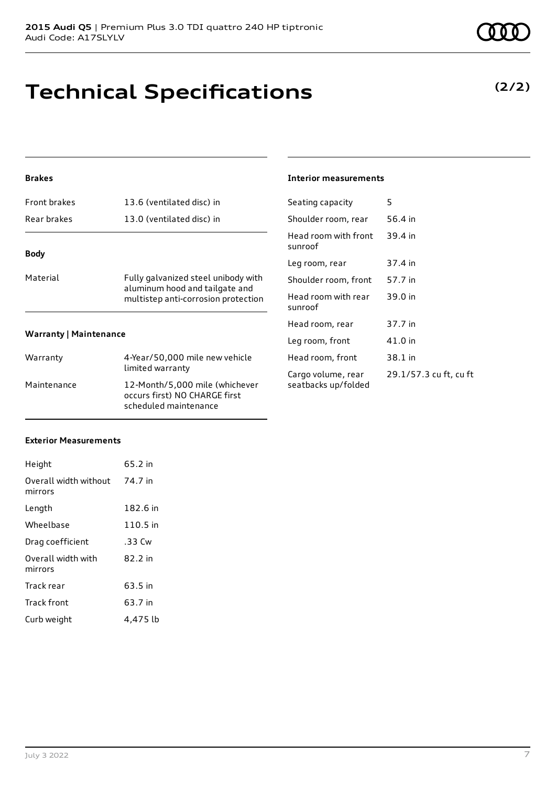# **Technical Specifications**

### **Brakes**

| <b>Front brakes</b>           | 13.6 (ventilated disc) in                                                                                    |  |  |
|-------------------------------|--------------------------------------------------------------------------------------------------------------|--|--|
| Rear brakes                   | 13.0 (ventilated disc) in                                                                                    |  |  |
| <b>Body</b>                   |                                                                                                              |  |  |
| Material                      | Fully galvanized steel unibody with<br>aluminum hood and tailgate and<br>multistep anti-corrosion protection |  |  |
| <b>Warranty   Maintenance</b> |                                                                                                              |  |  |
| Warranty                      | 4-Year/50,000 mile new vehicle<br>limited warranty                                                           |  |  |
| Maintenance                   | 12-Month/5,000 mile (whichever<br>occurs first) NO CHARGE first                                              |  |  |

scheduled maintenance

#### **Interior measurements**

| Seating capacity                          | 5                      |
|-------------------------------------------|------------------------|
| Shoulder room, rear                       | 56.4 in                |
| Head room with front<br>sunroof           | 39.4 in                |
| Leg room, rear                            | 37.4 in                |
| Shoulder room, front                      | 57.7 in                |
| Head room with rear<br>sunroof            | 39.0 in                |
| Head room, rear                           | 37.7 in                |
| Leg room, front                           | 41.0 in                |
| Head room, front                          | 38.1 in                |
| Cargo volume, rear<br>seatbacks up/folded | 29.1/57.3 cu ft, cu ft |

### **Exterior Measurements**

| Height                           | 65.2 in  |
|----------------------------------|----------|
| Overall width without<br>mirrors | 74.7 in  |
| Length                           | 182.6 in |
| Wheelbase                        | 110.5 in |
| Drag coefficient                 | .33 Cw   |
| Overall width with<br>mirrors    | 82.2 in  |
| Track rear                       | 63.5 in  |
| <b>Track front</b>               | 63.7 in  |
| Curb weight                      | 4,475 lb |

## **(2/2)**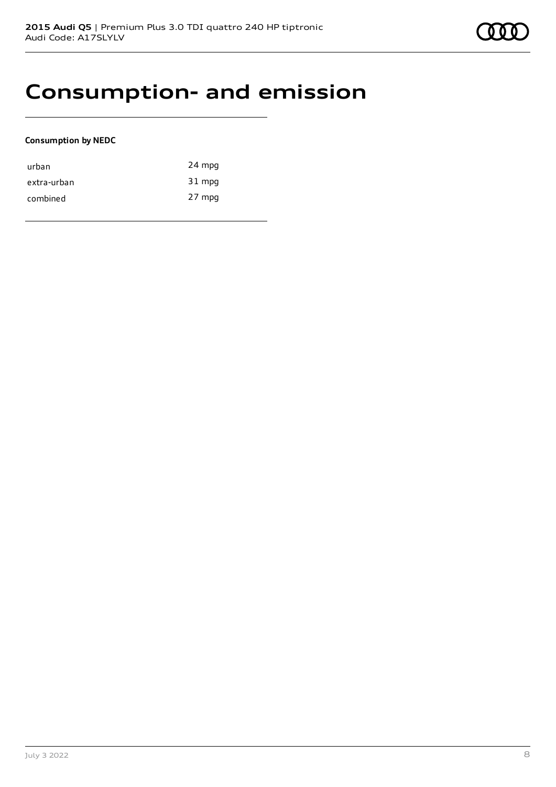## **Consumption- and emission**

### **Consumption by NEDC**

| urban       | 24 mpg |
|-------------|--------|
| extra-urban | 31 mpg |
| combined    | 27 mpg |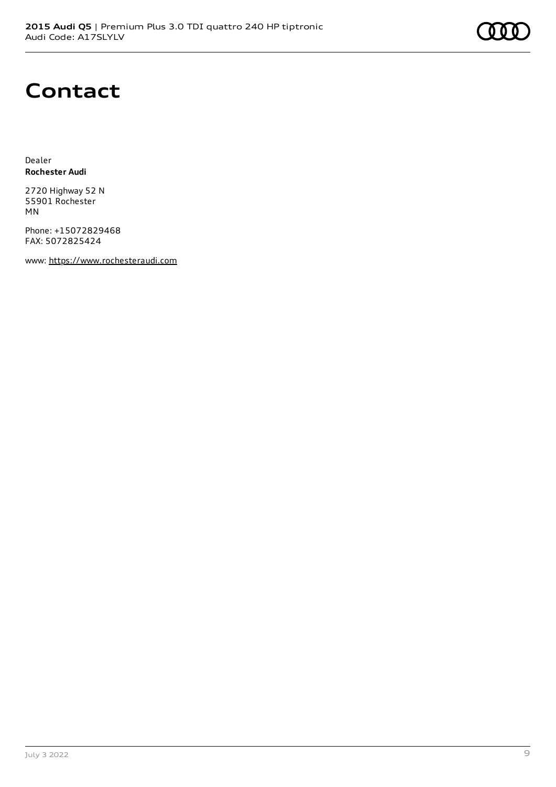# **Contact**

Dealer **Rochester Audi**

2720 Highway 52 N 55901 Rochester MN

Phone: +15072829468 FAX: 5072825424

www: [https://www.rochesteraudi.com](https://www.rochesteraudi.com/)